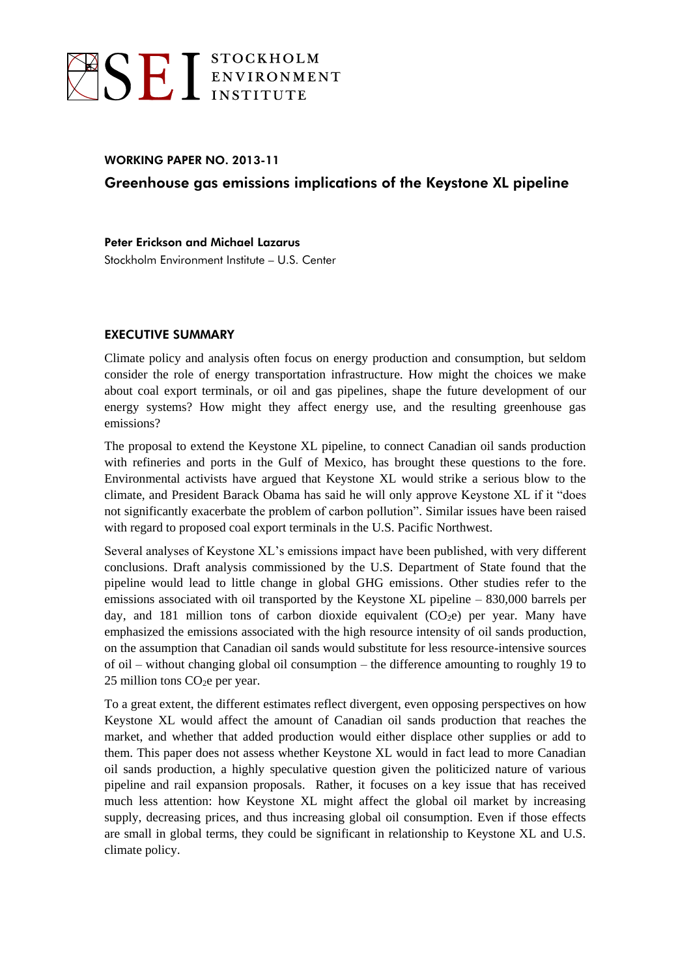

## WORKING PAPER NO. 2013-11 Greenhouse gas emissions implications of the Keystone XL pipeline

Peter Erickson and Michael Lazarus Stockholm Environment Institute – U.S. Center

## EXECUTIVE SUMMARY

Climate policy and analysis often focus on energy production and consumption, but seldom consider the role of energy transportation infrastructure. How might the choices we make about coal export terminals, or oil and gas pipelines, shape the future development of our energy systems? How might they affect energy use, and the resulting greenhouse gas emissions?

The proposal to extend the Keystone XL pipeline, to connect Canadian oil sands production with refineries and ports in the Gulf of Mexico, has brought these questions to the fore. Environmental activists have argued that Keystone XL would strike a serious blow to the climate, and President Barack Obama has said he will only approve Keystone XL if it "does not significantly exacerbate the problem of carbon pollution". Similar issues have been raised with regard to proposed coal export terminals in the U.S. Pacific Northwest.

Several analyses of Keystone XL's emissions impact have been published, with very different conclusions. Draft analysis commissioned by the U.S. Department of State found that the pipeline would lead to little change in global GHG emissions. Other studies refer to the emissions associated with oil transported by the Keystone XL pipeline – 830,000 barrels per day, and 181 million tons of carbon dioxide equivalent  $(CO<sub>2</sub>e)$  per year. Many have emphasized the emissions associated with the high resource intensity of oil sands production, on the assumption that Canadian oil sands would substitute for less resource-intensive sources of oil – without changing global oil consumption – the difference amounting to roughly 19 to 25 million tons  $CO<sub>2</sub>e$  per year.

To a great extent, the different estimates reflect divergent, even opposing perspectives on how Keystone XL would affect the amount of Canadian oil sands production that reaches the market, and whether that added production would either displace other supplies or add to them. This paper does not assess whether Keystone XL would in fact lead to more Canadian oil sands production, a highly speculative question given the politicized nature of various pipeline and rail expansion proposals. Rather, it focuses on a key issue that has received much less attention: how Keystone XL might affect the global oil market by increasing supply, decreasing prices, and thus increasing global oil consumption. Even if those effects are small in global terms, they could be significant in relationship to Keystone XL and U.S. climate policy.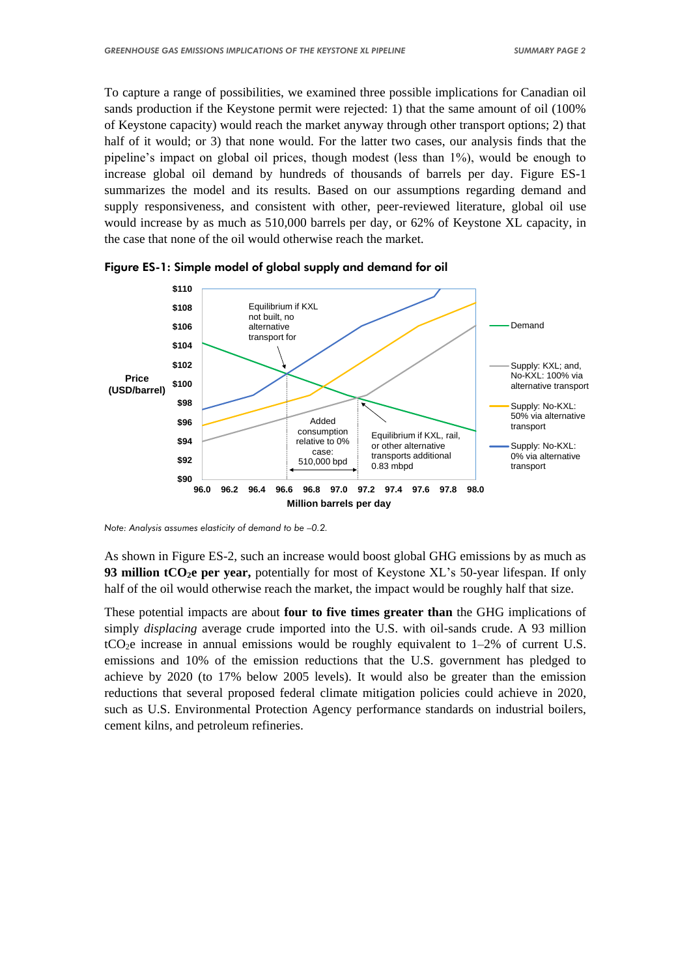To capture a range of possibilities, we examined three possible implications for Canadian oil sands production if the Keystone permit were rejected: 1) that the same amount of oil (100% of Keystone capacity) would reach the market anyway through other transport options; 2) that half of it would; or 3) that none would. For the latter two cases, our analysis finds that the pipeline's impact on global oil prices, though modest (less than 1%), would be enough to increase global oil demand by hundreds of thousands of barrels per day. Figure ES-1 summarizes the model and its results. Based on our assumptions regarding demand and supply responsiveness, and consistent with other, peer-reviewed literature, global oil use would increase by as much as 510,000 barrels per day, or 62% of Keystone XL capacity, in the case that none of the oil would otherwise reach the market.



Figure ES-1: Simple model of global supply and demand for oil

*Note: Analysis assumes elasticity of demand to be –0.2.*

As shown in Figure ES-2, such an increase would boost global GHG emissions by as much as **93 million tCO2e per year,** potentially for most of Keystone XL's 50-year lifespan. If only half of the oil would otherwise reach the market, the impact would be roughly half that size.

These potential impacts are about **four to five times greater than** the GHG implications of simply *displacing* average crude imported into the U.S. with oil-sands crude. A 93 million  $tCO<sub>2</sub>e$  increase in annual emissions would be roughly equivalent to  $1-2%$  of current U.S. emissions and 10% of the emission reductions that the U.S. government has pledged to achieve by 2020 (to 17% below 2005 levels). It would also be greater than the emission reductions that several proposed federal climate mitigation policies could achieve in 2020, such as U.S. Environmental Protection Agency performance standards on industrial boilers, cement kilns, and petroleum refineries.